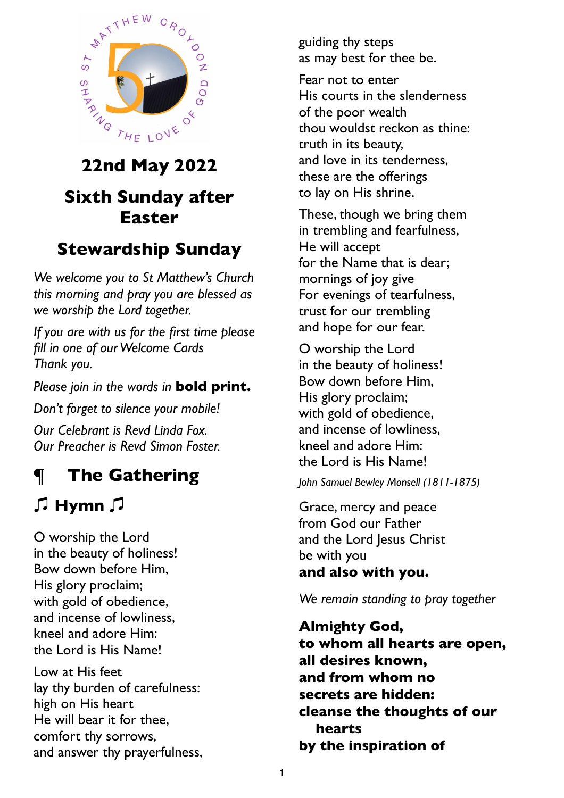

# **22nd May 2022 Sixth Sunday after Easter**

# **Stewardship Sunday**

*We welcome you to St Matthew's Church this morning and pray you are blessed as we worship the Lord together.*

*If you are with us for the first time please fill in one of our Welcome Cards Thank you.* 

*Please join in the words in* **bold print.** 

*Don't forget to silence your mobile!*

*Our Celebrant is Revd Linda Fox. Our Preacher is Revd Simon Foster.*

# **¶ The Gathering**

# 㽈 **Hymn** 㽈

O worship the Lord in the beauty of holiness! Bow down before Him, His glory proclaim; with gold of obedience, and incense of lowliness, kneel and adore Him: the Lord is His Name!

Low at His feet lay thy burden of carefulness: high on His heart He will bear it for thee, comfort thy sorrows, and answer thy prayerfulness, guiding thy steps as may best for thee be.

Fear not to enter His courts in the slenderness of the poor wealth thou wouldst reckon as thine: truth in its beauty, and love in its tenderness, these are the offerings to lay on His shrine.

These, though we bring them in trembling and fearfulness, He will accept for the Name that is dear; mornings of joy give For evenings of tearfulness, trust for our trembling and hope for our fear.

O worship the Lord in the beauty of holiness! Bow down before Him, His glory proclaim; with gold of obedience, and incense of lowliness, kneel and adore Him: the Lord is His Name!

*John Samuel Bewley Monsell (1811-1875)*

Grace, mercy and peace from God our Father and the Lord Jesus Christ be with you **and also with you.**

*We remain standing to pray together*

**Almighty God, to whom all hearts are open, all desires known, and from whom no secrets are hidden: cleanse the thoughts of our hearts by the inspiration of**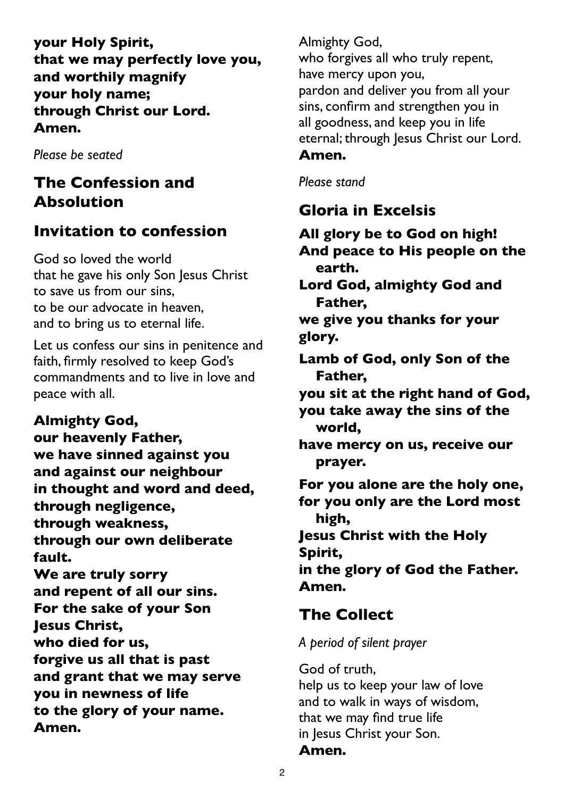**your Holy Spirit, that we may perfectly love you, and worthily magnify your holy name; through Christ our Lord. Amen.**

*Please be seated*

### **The Confession and Absolution**

#### **Invitation to confession**

God so loved the world that he gave his only Son Jesus Christ to save us from our sins, to be our advocate in heaven, and to bring us to eternal life.

Let us confess our sins in penitence and faith, firmly resolved to keep God's commandments and to live in love and peace with all.

**Almighty God, our heavenly Father, we have sinned against you and against our neighbour in thought and word and deed, through negligence, through weakness, through our own deliberate fault. We are truly sorry and repent of all our sins. For the sake of your Son Jesus Christ, who died for us, forgive us all that is past and grant that we may serve you in newness of life to the glory of your name. Amen.** 

Almighty God, who forgives all who truly repent, have mercy upon you, pardon and deliver you from all your sins, confirm and strengthen you in all goodness, and keep you in life eternal; through Jesus Christ our Lord. **Amen.** 

*Please stand*

#### **Gloria in Excelsis**

**All glory be to God on high! And peace to His people on the earth. Lord God, almighty God and Father, we give you thanks for your glory. Lamb of God, only Son of the Father, you sit at the right hand of God, you take away the sins of the world, have mercy on us, receive our prayer. For you alone are the holy one, for you only are the Lord most high, Jesus Christ with the Holy Spirit, in the glory of God the Father. Amen.**

### **The Collect**

*A period of silent prayer*

God of truth, help us to keep your law of love and to walk in ways of wisdom, that we may find true life in Jesus Christ your Son. **Amen.**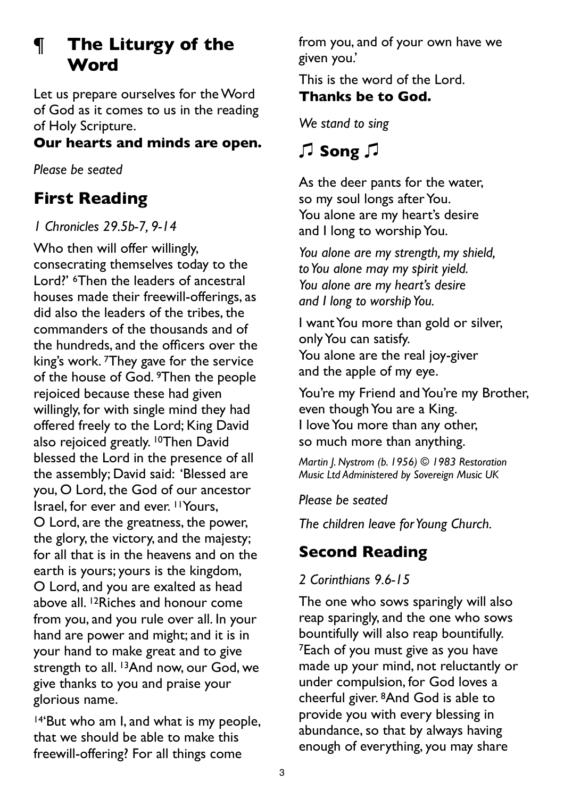## **¶ The Liturgy of the Word**

Let us prepare ourselves for the Word of God as it comes to us in the reading of Holy Scripture.

#### **Our hearts and minds are open.**

*Please be seated*

# **First Reading**

#### *1 Chronicles 29.5b-7, 9-14*

Who then will offer willingly, consecrating themselves today to the Lord?' 6Then the leaders of ancestral houses made their freewill-offerings, as did also the leaders of the tribes, the commanders of the thousands and of the hundreds, and the officers over the king's work. 7They gave for the service of the house of God. 9Then the people rejoiced because these had given willingly, for with single mind they had offered freely to the Lord; King David also rejoiced greatly. <sup>10</sup>Then David blessed the Lord in the presence of all the assembly; David said: 'Blessed are you, O Lord, the God of our ancestor Israel, for ever and ever. 11Yours, O Lord, are the greatness, the power, the glory, the victory, and the majesty; for all that is in the heavens and on the earth is yours; yours is the kingdom, O Lord, and you are exalted as head above all. 12Riches and honour come from you, and you rule over all. In your hand are power and might; and it is in your hand to make great and to give strength to all. <sup>13</sup>And now, our God, we give thanks to you and praise your glorious name.

14'But who am I, and what is my people, that we should be able to make this freewill-offering? For all things come

from you, and of your own have we given you.'

This is the word of the Lord.

### **Thanks be to God.**

*We stand to sing*

# 㽈 **Song** 㽈

As the deer pants for the water, so my soul longs after You. You alone are my heart's desire and I long to worship You.

*You alone are my strength, my shield, to You alone may my spirit yield. You alone are my heart's desire and I long to worship You.*

I want You more than gold or silver, only You can satisfy. You alone are the real joy-giver and the apple of my eye.

You're my Friend and You're my Brother, even though You are a King. I love You more than any other, so much more than anything.

*Martin J. Nystrom (b. 1956) © 1983 Restoration Music Ltd Administered by Sovereign Music UK*

*Please be seated*

*The children leave for Young Church.*

## **Second Reading**

#### *2 Corinthians 9.6-15*

The one who sows sparingly will also reap sparingly, and the one who sows bountifully will also reap bountifully. 7Each of you must give as you have made up your mind, not reluctantly or under compulsion, for God loves a cheerful giver. 8And God is able to provide you with every blessing in abundance, so that by always having enough of everything, you may share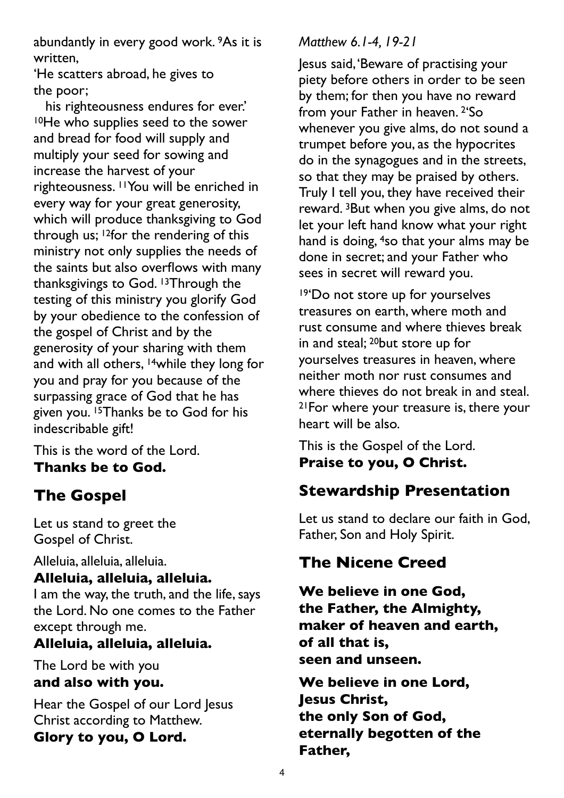abundantly in every good work. 9As it is written,

'He scatters abroad, he gives to the poor;

 his righteousness endures for ever.' 10He who supplies seed to the sower and bread for food will supply and multiply your seed for sowing and increase the harvest of your righteousness. 11You will be enriched in every way for your great generosity, which will produce thanksgiving to God through us; 12for the rendering of this ministry not only supplies the needs of the saints but also overflows with many thanksgivings to God. 13Through the testing of this ministry you glorify God by your obedience to the confession of the gospel of Christ and by the generosity of your sharing with them and with all others, 14while they long for you and pray for you because of the surpassing grace of God that he has given you. 15Thanks be to God for his indescribable gift!

This is the word of the Lord. **Thanks be to God.**

## **The Gospel**

Let us stand to greet the Gospel of Christ.

Alleluia, alleluia, alleluia.

#### **Alleluia, alleluia, alleluia.**

I am the way, the truth, and the life, says the Lord. No one comes to the Father except through me.

#### **Alleluia, alleluia, alleluia.**

The Lord be with you **and also with you.**

Hear the Gospel of our Lord Jesus Christ according to Matthew. **Glory to you, O Lord.**

#### *Matthew 6.1-4, 19-21*

Jesus said, 'Beware of practising your piety before others in order to be seen by them; for then you have no reward from your Father in heaven. 2'So whenever you give alms, do not sound a trumpet before you, as the hypocrites do in the synagogues and in the streets, so that they may be praised by others. Truly I tell you, they have received their reward. 3But when you give alms, do not let your left hand know what your right hand is doing, 4so that your alms may be done in secret; and your Father who sees in secret will reward you.

19'Do not store up for yourselves treasures on earth, where moth and rust consume and where thieves break in and steal; 20but store up for yourselves treasures in heaven, where neither moth nor rust consumes and where thieves do not break in and steal. 21For where your treasure is, there your heart will be also.

This is the Gospel of the Lord. **Praise to you, O Christ.**

### **Stewardship Presentation**

Let us stand to declare our faith in God, Father, Son and Holy Spirit.

## **The Nicene Creed**

**We believe in one God, the Father, the Almighty, maker of heaven and earth, of all that is, seen and unseen.** 

**We believe in one Lord, Jesus Christ, the only Son of God, eternally begotten of the Father,**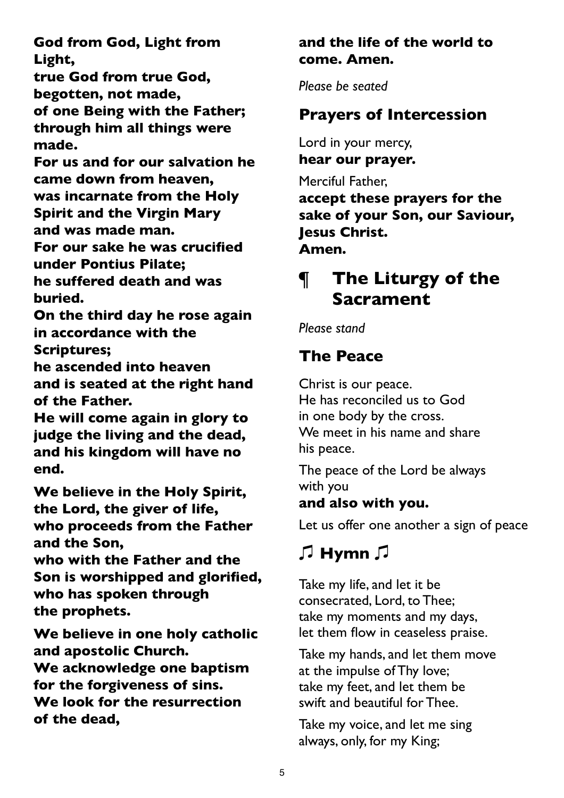**God from God, Light from Light,**

**true God from true God, begotten, not made, of one Being with the Father; through him all things were made.**

**For us and for our salvation he came down from heaven, was incarnate from the Holy Spirit and the Virgin Mary and was made man. For our sake he was crucified under Pontius Pilate; he suffered death and was buried.**

**On the third day he rose again in accordance with the Scriptures;**

**he ascended into heaven and is seated at the right hand of the Father.**

**He will come again in glory to judge the living and the dead, and his kingdom will have no end.** 

**We believe in the Holy Spirit, the Lord, the giver of life, who proceeds from the Father and the Son,**

**who with the Father and the Son is worshipped and glorified, who has spoken through the prophets.**

**We believe in one holy catholic and apostolic Church. We acknowledge one baptism for the forgiveness of sins. We look for the resurrection of the dead,**

**and the life of the world to come. Amen.**

*Please be seated*

## **Prayers of Intercession**

Lord in your mercy, **hear our prayer.** Merciful Father,

**accept these prayers for the sake of your Son, our Saviour, Jesus Christ. Amen.**

## **¶ The Liturgy of the Sacrament**

*Please stand*

### **The Peace**

Christ is our peace.

He has reconciled us to God in one body by the cross. We meet in his name and share his peace.

The peace of the Lord be always with you

### **and also with you.**

Let us offer one another a sign of peace

# 㽈 **Hymn** 㽈

Take my life, and let it be consecrated, Lord, to Thee; take my moments and my days, let them flow in ceaseless praise.

Take my hands, and let them move at the impulse of Thy love; take my feet, and let them be swift and beautiful for Thee.

Take my voice, and let me sing always, only, for my King;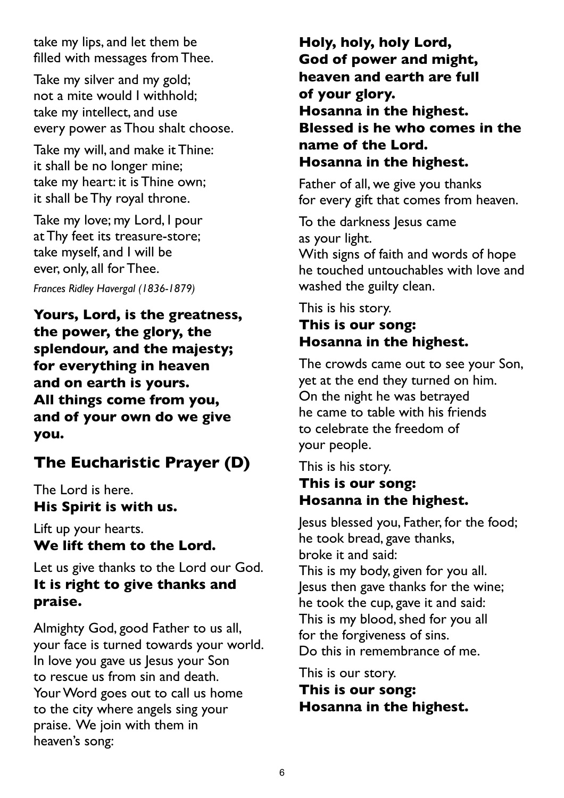take my lips, and let them be filled with messages from Thee.

Take my silver and my gold; not a mite would I withhold; take my intellect, and use every power as Thou shalt choose.

Take my will, and make it Thine: it shall be no longer mine; take my heart: it is Thine own; it shall be Thy royal throne.

Take my love; my Lord, I pour at Thy feet its treasure-store; take myself, and I will be ever, only, all for Thee.

*Frances Ridley Havergal (1836-1879)*

**Yours, Lord, is the greatness, the power, the glory, the splendour, and the majesty; for everything in heaven and on earth is yours. All things come from you, and of your own do we give you.**

### **The Eucharistic Prayer (D)**

The Lord is here. **His Spirit is with us.**

Lift up your hearts. **We lift them to the Lord.**

Let us give thanks to the Lord our God. **It is right to give thanks and praise.**

Almighty God, good Father to us all, your face is turned towards your world. In love you gave us Jesus your Son to rescue us from sin and death. Your Word goes out to call us home to the city where angels sing your praise. We join with them in heaven's song:

**Holy, holy, holy Lord, God of power and might, heaven and earth are full of your glory. Hosanna in the highest. Blessed is he who comes in the name of the Lord. Hosanna in the highest.** 

Father of all, we give you thanks for every gift that comes from heaven.

To the darkness Jesus came as your light. With signs of faith and words of hope he touched untouchables with love and washed the guilty clean.

#### This is his story. **This is our song: Hosanna in the highest.**

The crowds came out to see your Son, yet at the end they turned on him. On the night he was betrayed he came to table with his friends to celebrate the freedom of your people.

#### This is his story. **This is our song: Hosanna in the highest.**

Jesus blessed you, Father, for the food; he took bread, gave thanks, broke it and said: This is my body, given for you all. Jesus then gave thanks for the wine; he took the cup, gave it and said: This is my blood, shed for you all for the forgiveness of sins. Do this in remembrance of me.

This is our story.

**This is our song: Hosanna in the highest.**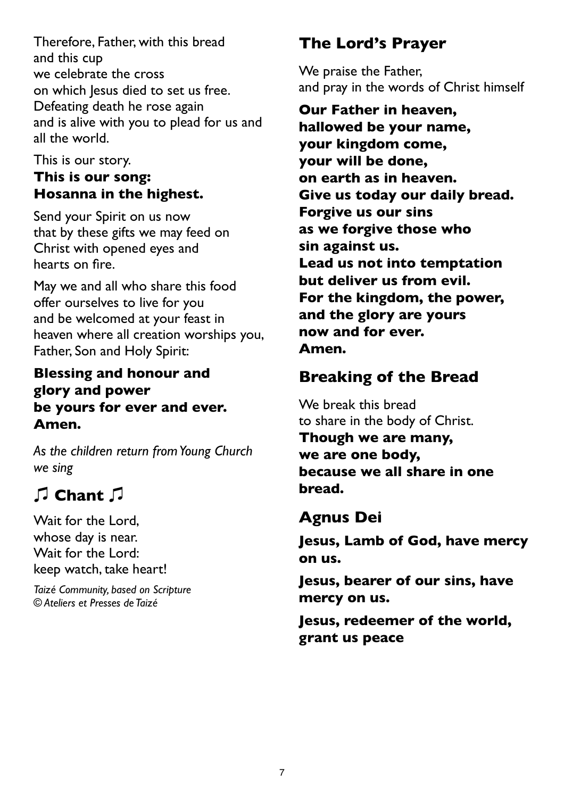Therefore, Father, with this bread and this cup we celebrate the cross on which Jesus died to set us free. Defeating death he rose again and is alive with you to plead for us and all the world.

#### This is our story. **This is our song: Hosanna in the highest.**

Send your Spirit on us now that by these gifts we may feed on Christ with opened eyes and hearts on fire.

May we and all who share this food offer ourselves to live for you and be welcomed at your feast in heaven where all creation worships you, Father, Son and Holy Spirit:

#### **Blessing and honour and glory and power be yours for ever and ever. Amen.**

*As the children return from Young Church we sing*

# 㽈 **Chant** 㽈

Wait for the Lord, whose day is near. Wait for the Lord: keep watch, take heart!

*Taizé Community, based on Scripture © Ateliers et Presses de Taizé*

## **The Lord's Prayer**

We praise the Father, and pray in the words of Christ himself

**Our Father in heaven, hallowed be your name, your kingdom come, your will be done, on earth as in heaven. Give us today our daily bread. Forgive us our sins as we forgive those who sin against us. Lead us not into temptation but deliver us from evil. For the kingdom, the power, and the glory are yours now and for ever. Amen.**

## **Breaking of the Bread**

We break this bread to share in the body of Christ. **Though we are many, we are one body, because we all share in one bread.**

### **Agnus Dei**

**Jesus, Lamb of God, have mercy on us.** 

**Jesus, bearer of our sins, have mercy on us.** 

**Jesus, redeemer of the world, grant us peace**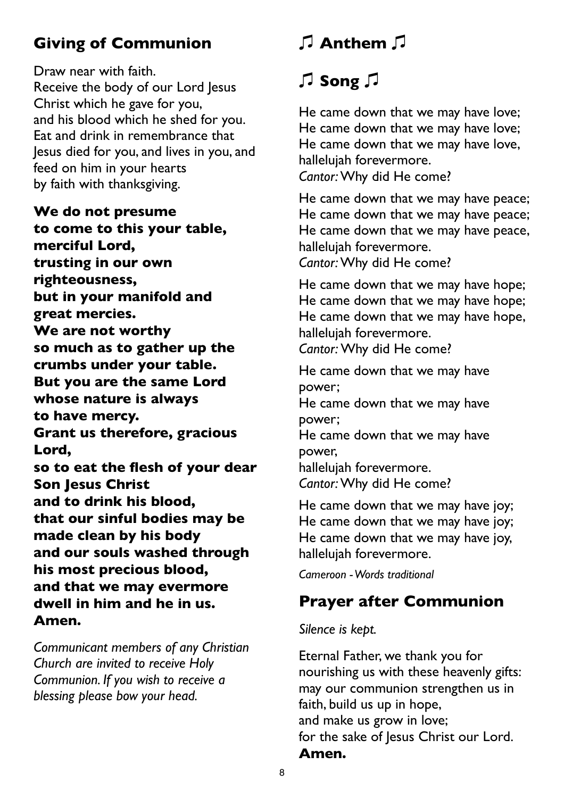### **Giving of Communion**

Draw near with faith. Receive the body of our Lord Jesus Christ which he gave for you, and his blood which he shed for you. Eat and drink in remembrance that Jesus died for you, and lives in you, and feed on him in your hearts by faith with thanksgiving.

**We do not presume to come to this your table, merciful Lord, trusting in our own righteousness, but in your manifold and great mercies. We are not worthy so much as to gather up the crumbs under your table. But you are the same Lord whose nature is always to have mercy. Grant us therefore, gracious Lord, so to eat the flesh of your dear Son Jesus Christ and to drink his blood, that our sinful bodies may be made clean by his body and our souls washed through his most precious blood, and that we may evermore dwell in him and he in us. Amen.**

*Communicant members of any Christian Church are invited to receive Holy Communion. If you wish to receive a blessing please bow your head.*

# 㽈 **Anthem** 㽈

# 㽈 **Song** 㽈

He came down that we may have love; He came down that we may have love; He came down that we may have love, hallelujah forevermore. *Cantor:* Why did He come?

He came down that we may have peace; He came down that we may have peace; He came down that we may have peace, hallelujah forevermore.

*Cantor:* Why did He come?

He came down that we may have hope; He came down that we may have hope; He came down that we may have hope, hallelujah forevermore.

*Cantor:* Why did He come?

He came down that we may have power; He came down that we may have power;

He came down that we may have power,

hallelujah forevermore. *Cantor:* Why did He come?

He came down that we may have joy; He came down that we may have joy; He came down that we may have joy, hallelujah forevermore.

*Cameroon - Words traditional*

#### **Prayer after Communion**

#### *Silence is kept.*

Eternal Father, we thank you for nourishing us with these heavenly gifts: may our communion strengthen us in faith, build us up in hope, and make us grow in love; for the sake of Jesus Christ our Lord. **Amen.**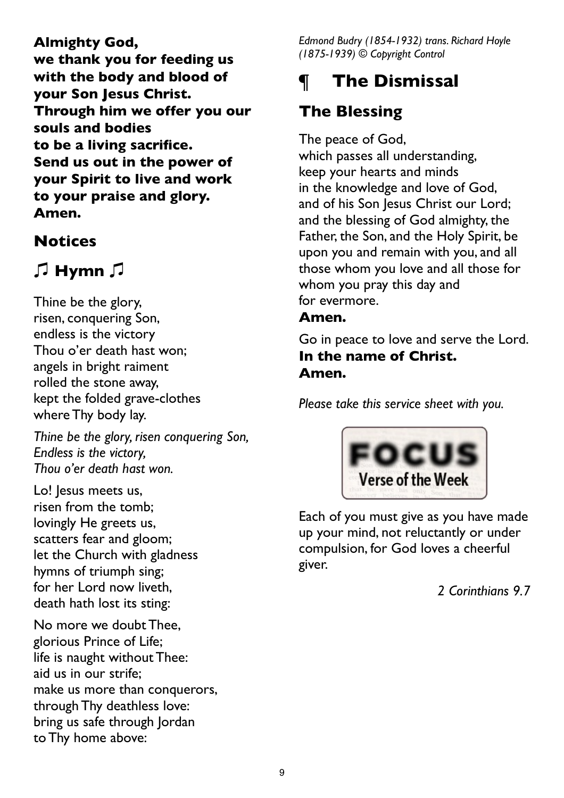**Almighty God, we thank you for feeding us with the body and blood of your Son Jesus Christ. Through him we offer you our souls and bodies to be a living sacrifice. Send us out in the power of your Spirit to live and work to your praise and glory. Amen.**

### **Notices**

## 㽈 **Hymn** 㽈

Thine be the glory, risen, conquering Son, endless is the victory Thou o'er death hast won; angels in bright raiment rolled the stone away, kept the folded grave-clothes where Thy body lay.

*Thine be the glory, risen conquering Son, Endless is the victory, Thou o'er death hast won.*

Lo! Jesus meets us, risen from the tomb; lovingly He greets us, scatters fear and gloom; let the Church with gladness hymns of triumph sing; for her Lord now liveth, death hath lost its sting:

No more we doubt Thee, glorious Prince of Life; life is naught without Thee: aid us in our strife; make us more than conquerors, through Thy deathless love: bring us safe through Jordan to Thy home above:

*Edmond Budry (1854-1932) trans. Richard Hoyle (1875-1939) © Copyright Control*

# **¶ The Dismissal**

## **The Blessing**

The peace of God, which passes all understanding, keep your hearts and minds in the knowledge and love of God, and of his Son Jesus Christ our Lord; and the blessing of God almighty, the Father, the Son, and the Holy Spirit, be upon you and remain with you, and all those whom you love and all those for whom you pray this day and for evermore.

#### **Amen.**

Go in peace to love and serve the Lord. **In the name of Christ. Amen.**

*Please take this service sheet with you.*



Each of you must give as you have made up your mind, not reluctantly or under compulsion, for God loves a cheerful giver.

*2 Corinthians 9.7*